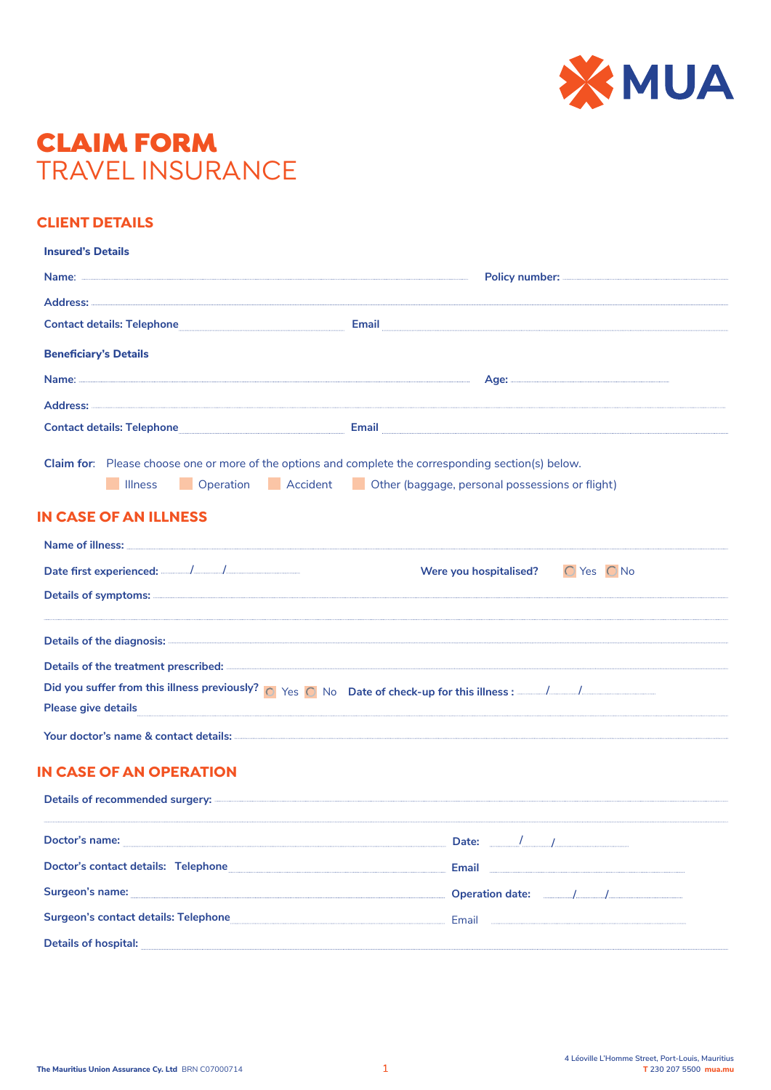

## CLAIM FORM TRAVEL INSURANCE

## **CLIENT DETAILS**

| <b>Insured's Details</b>                                                                                                                                                                                                                                                                                                                                                                                |                                                                                                                                                                                                       |
|---------------------------------------------------------------------------------------------------------------------------------------------------------------------------------------------------------------------------------------------------------------------------------------------------------------------------------------------------------------------------------------------------------|-------------------------------------------------------------------------------------------------------------------------------------------------------------------------------------------------------|
|                                                                                                                                                                                                                                                                                                                                                                                                         |                                                                                                                                                                                                       |
|                                                                                                                                                                                                                                                                                                                                                                                                         |                                                                                                                                                                                                       |
|                                                                                                                                                                                                                                                                                                                                                                                                         | Contact details: Telephone <b>Email</b> Email <b>Email</b> Email <b>Email Email Email Email Email Email Email Email Email Email Email Email Email Email Email Email Email Email Email Email Email</b> |
| <b>Beneficiary's Details</b>                                                                                                                                                                                                                                                                                                                                                                            |                                                                                                                                                                                                       |
|                                                                                                                                                                                                                                                                                                                                                                                                         |                                                                                                                                                                                                       |
|                                                                                                                                                                                                                                                                                                                                                                                                         |                                                                                                                                                                                                       |
|                                                                                                                                                                                                                                                                                                                                                                                                         | Contact details: Telephone <b>Email</b> Email <b>Email</b> Email <b>Email Email Email Email Email Email Email Email Email Email Email Email Email Email Email Email Email Email Email Email Email</b> |
| Claim for: Please choose one or more of the options and complete the corresponding section(s) below.                                                                                                                                                                                                                                                                                                    |                                                                                                                                                                                                       |
| <b>Illness</b>                                                                                                                                                                                                                                                                                                                                                                                          | Deperation Accident Cher (baggage, personal possessions or flight)                                                                                                                                    |
| <b>IN CASE OF AN ILLNESS</b>                                                                                                                                                                                                                                                                                                                                                                            |                                                                                                                                                                                                       |
| Name of illness: the contract of the contract of the contract of the contract of the contract of the contract of the contract of the contract of the contract of the contract of the contract of the contract of the contract                                                                                                                                                                           |                                                                                                                                                                                                       |
|                                                                                                                                                                                                                                                                                                                                                                                                         | Were you hospitalised? $\bigcirc$ Yes $\bigcirc$ No                                                                                                                                                   |
| Details of symptoms: <u>and the symptoms</u> of symptoms of the symptoms of the symptoms of symptoms of the symptoms of the symptoms of the symptoms of the symptoms of the symptom of the symptom of the symptom of the symptom of                                                                                                                                                                     |                                                                                                                                                                                                       |
|                                                                                                                                                                                                                                                                                                                                                                                                         |                                                                                                                                                                                                       |
|                                                                                                                                                                                                                                                                                                                                                                                                         | Details of the treatment prescribed: <b>Executive Executive Constant Present Automobile Constant Prescribed:</b>                                                                                      |
|                                                                                                                                                                                                                                                                                                                                                                                                         |                                                                                                                                                                                                       |
| Please give details <b>with the contract of the contract of the contract of the contract of the contract of the contract of the contract of the contract of the contract of the contract of the contract of the contract of the </b>                                                                                                                                                                    |                                                                                                                                                                                                       |
|                                                                                                                                                                                                                                                                                                                                                                                                         |                                                                                                                                                                                                       |
| <b>IN CASE OF AN OPERATION</b>                                                                                                                                                                                                                                                                                                                                                                          |                                                                                                                                                                                                       |
|                                                                                                                                                                                                                                                                                                                                                                                                         |                                                                                                                                                                                                       |
| Doctor's name: $\frac{1}{\sqrt{1-\frac{1}{2}}\sqrt{1-\frac{1}{2}}\sqrt{1-\frac{1}{2}}\sqrt{1-\frac{1}{2}}\sqrt{1-\frac{1}{2}}\sqrt{1-\frac{1}{2}}\sqrt{1-\frac{1}{2}}\sqrt{1-\frac{1}{2}}\sqrt{1-\frac{1}{2}}\sqrt{1-\frac{1}{2}}\sqrt{1-\frac{1}{2}}\sqrt{1-\frac{1}{2}}\sqrt{1-\frac{1}{2}}\sqrt{1-\frac{1}{2}}\sqrt{1-\frac{1}{2}}\sqrt{1-\frac{1}{2}}\sqrt{1-\frac{1}{2}}\sqrt{1-\frac{1}{2}}\sqrt$ |                                                                                                                                                                                                       |
|                                                                                                                                                                                                                                                                                                                                                                                                         | Doctor's contact details: Telephone Contact September 2014 and Contact September 2014 and Contact September 20                                                                                        |
|                                                                                                                                                                                                                                                                                                                                                                                                         | Surgeon's name: <u>Conservation and Conservation and Conservation and Conservation date:</u>                                                                                                          |
|                                                                                                                                                                                                                                                                                                                                                                                                         |                                                                                                                                                                                                       |
| Details of hospital: <b>with a contract of the contract of the contract of the contract of the contract of the contract of the contract of the contract of the contract of the contract of the contract of the contract of the c</b>                                                                                                                                                                    |                                                                                                                                                                                                       |